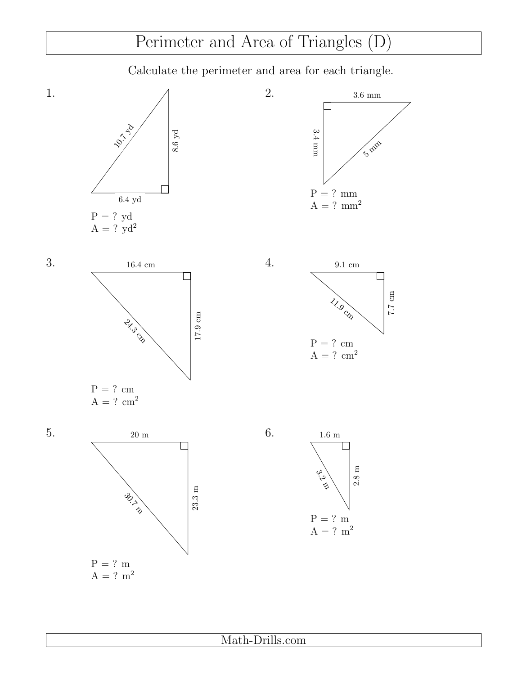## Perimeter and Area of Triangles (D)

Calculate the perimeter and area for each triangle.

2.

4.





9.1 cm



 $A = ? \text{ cm}^2$ 



7.7 cm



1.

3.